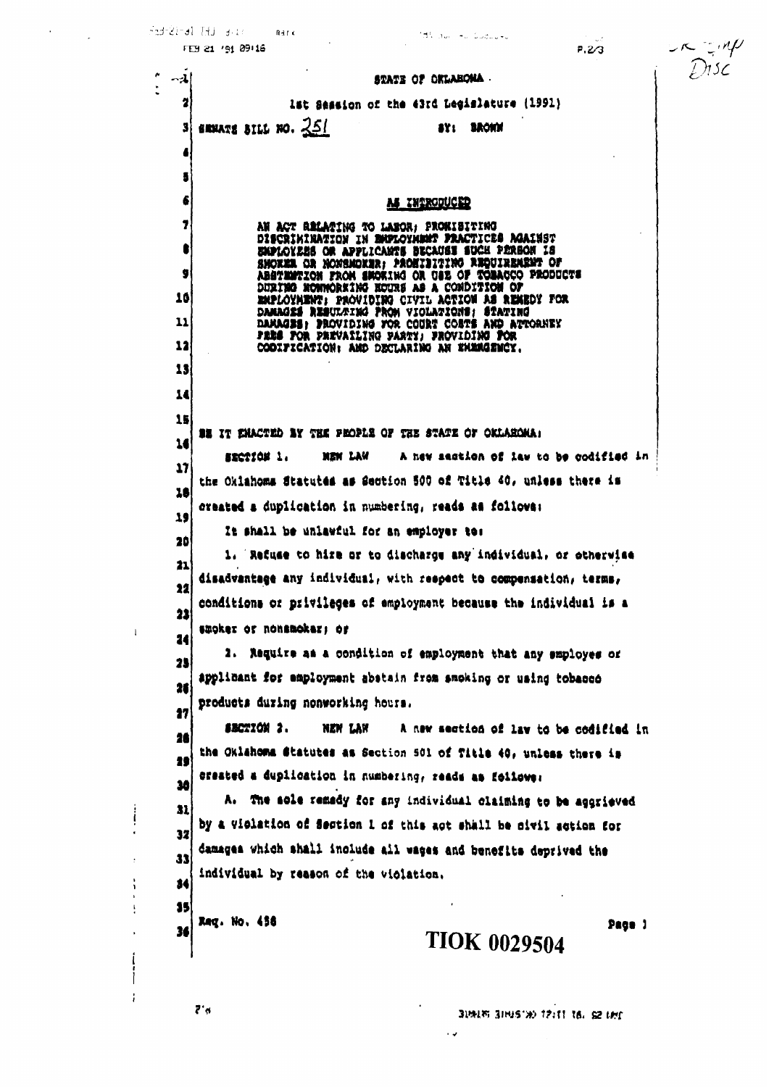|                              |                  | idi nu ⊸u Guduu∍u<br>FE9 21 '91 09 16<br>P.2/3                                                    | $\frac{1}{2}$ $\frac{1}{2}$ $\frac{1}{2}$ |
|------------------------------|------------------|---------------------------------------------------------------------------------------------------|-------------------------------------------|
|                              | $\sim$ $\lambda$ | STATE OF OKLAHOMA                                                                                 |                                           |
|                              | 2                | lat Seasion of the 43rd Legislature (1991)                                                        |                                           |
|                              |                  | SENATE BILL NO. $251$<br>SY: BROWN                                                                |                                           |
|                              | 4                |                                                                                                   |                                           |
|                              | 5                |                                                                                                   |                                           |
|                              | 6                | <b>M INTRODUCED</b>                                                                               |                                           |
|                              | 7                | AN ACT RELATING TO LABOR: PROWISITING<br>DISCRIMINATION IN ENFLOYMENT FRACTICES AGAINST           |                                           |
|                              | €                | EMPLOYEES OR APPLICANTS BUCAUSE SUCH PERSON IS<br>SMOKER OR NONSMOKER: PROSIBITING REQUIREMENT OF |                                           |
|                              | 9                | ABSTEMTION FROM SECRING OR USE OF TOBACCO PRODUCTS<br>DURING NONNORKING NOURS AS A CONDITION OF   |                                           |
|                              | 10               | EMPLOYMENT: PROVIDING CIVIL ACTION AS REMEDY FOR<br>DAMAGES RESULTING PROM VIOLATIONS; STATING    |                                           |
|                              | 11               | DAMAGSS: PROVIDING FOR COURT COSTS AND ATTORNEY<br>FRES FOR PREVAILING PARTY; FROVIDING FOR       |                                           |
|                              | 12               | CODIFICATION: AND DECLARING AN ENEMGENCY.                                                         |                                           |
|                              | 13               |                                                                                                   |                                           |
|                              | 14               |                                                                                                   |                                           |
|                              | 15               | <b>BE IT ENACTED BY THE PEOPLE OF THE STATE OF OKLAHOMA:</b>                                      |                                           |
|                              | 16               | A new sastion of law to be codified in<br>EECTION 1.<br>NEW LAW                                   |                                           |
|                              | 17               | the Oklahoms Statutes as Section 500 of Title 40, unless there is                                 |                                           |
|                              | 18               | created a duplication in numbering, reads as follows:                                             |                                           |
|                              | 19               | It shall be unlawful for an employer to:                                                          |                                           |
|                              | 20               | 1. Refuse to hire or to discharge any individual, or otherwise                                    |                                           |
|                              | 21               | disadvantage any individual, with respect to compensation, terms,                                 |                                           |
|                              | 22               | conditions or privileges of employment because the individual is a                                |                                           |
| $\mathbf{I}$                 | 22               | smoker or nonsmoker; or                                                                           |                                           |
|                              | 24               | 2. Require as a condition of employment that any employes of                                      |                                           |
|                              | 25               | applicant for employment abstain from smoking or using tobacco                                    |                                           |
|                              | 26               | products during nonworking hours.                                                                 |                                           |
|                              | 17               | SECTION 2.<br>A new section of law to be codified in<br>NEW LAW                                   |                                           |
|                              | 26               | the Oklahoma Statutes as Section 501 of Title 40, unless there is                                 |                                           |
|                              | 29               | created a duplication in numbering, reads as follower                                             |                                           |
|                              | 30               | A. The sole remedy for any individual claiming to be aggrieved                                    |                                           |
| ļ                            | 31               | by a violation of Section 1 of this act shall be civil action for                                 |                                           |
|                              | 32               | damages which shall include all wages and benefits deprived the                                   |                                           |
| $\ddot{\cdot}$               | 33               | individual by reason of the violation.                                                            |                                           |
| $\mathbf{L}$<br>$\mathbf{I}$ | 34               |                                                                                                   |                                           |
| $\mathbf{I}$                 | 35               | Reg. No. 458<br>Page 1                                                                            |                                           |
|                              | 36               | <b>TIOK 0029504</b>                                                                               |                                           |
|                              |                  |                                                                                                   |                                           |
|                              |                  |                                                                                                   |                                           |
|                              |                  | $7^{\circ}$ d<br>31MIS 31H15'>>> 12:11 16, 52 UHr                                                 |                                           |
|                              |                  | $\sim$ $\sim$                                                                                     |                                           |